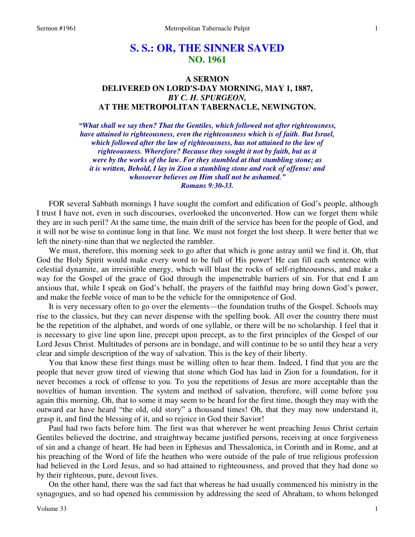# **S. S.: OR, THE SINNER SAVED NO. 1961**

## **A SERMON DELIVERED ON LORD'S-DAY MORNING, MAY 1, 1887,**  *BY C. H. SPURGEON,*  **AT THE METROPOLITAN TABERNACLE, NEWINGTON.**

*"What shall we say then? That the Gentiles, which followed not after righteousness, have attained to righteousness, even the righteousness which is of faith. But Israel, which followed after the law of righteousness, has not attained to the law of righteousness. Wherefore? Because they sought it not by faith, but as it were by the works of the law. For they stumbled at that stumbling stone; as it is written, Behold, I lay in Zion a stumbling stone and rock of offense: and whosoever believes on Him shall not be ashamed." Romans 9:30-33.* 

FOR several Sabbath mornings I have sought the comfort and edification of God's people, although I trust I have not, even in such discourses, overlooked the unconverted. How can we forget them while they are in such peril? At the same time, the main drift of the service has been for the people of God, and it will not be wise to continue long in that line. We must not forget the lost sheep. It were better that we left the ninety-nine than that we neglected the rambler.

We must, therefore, this morning seek to go after that which is gone astray until we find it. Oh, that God the Holy Spirit would make every word to be full of His power! He can fill each sentence with celestial dynamite, an irresistible energy, which will blast the rocks of self-righteousness, and make a way for the Gospel of the grace of God through the impenetrable barriers of sin. For that end I am anxious that, while I speak on God's behalf, the prayers of the faithful may bring down God's power, and make the feeble voice of man to be the vehicle for the omnipotence of God.

It is very necessary often to go over the elements—the foundation truths of the Gospel. Schools may rise to the classics, but they can never dispense with the spelling book. All over the country there must be the repetition of the alphabet, and words of one syllable, or there will be no scholarship. I feel that it is necessary to give line upon line, precept upon precept, as to the first principles of the Gospel of our Lord Jesus Christ. Multitudes of persons are in bondage, and will continue to be so until they hear a very clear and simple description of the way of salvation. This is the key of their liberty.

You that know these first things must be willing often to hear them. Indeed, I find that you are the people that never grow tired of viewing that stone which God has laid in Zion for a foundation, for it never becomes a rock of offense to you. To you the repetitions of Jesus are more acceptable than the novelties of human invention. The system and method of salvation, therefore, will come before you again this morning. Oh, that to some it may seem to be heard for the first time, though they may with the outward ear have heard "the old, old story" a thousand times! Oh, that they may now understand it, grasp it, and find the blessing of it, and so rejoice in God their Savior!

Paul had two facts before him. The first was that wherever he went preaching Jesus Christ certain Gentiles believed the doctrine, and straightway became justified persons, receiving at once forgiveness of sin and a change of heart. He had been in Ephesus and Thessalonica, in Corinth and in Rome, and at his preaching of the Word of life the heathen who were outside of the pale of true religious profession had believed in the Lord Jesus, and so had attained to righteousness, and proved that they had done so by their righteous, pure, devout lives.

On the other hand, there was the sad fact that whereas he had usually commenced his ministry in the synagogues, and so had opened his commission by addressing the seed of Abraham, to whom belonged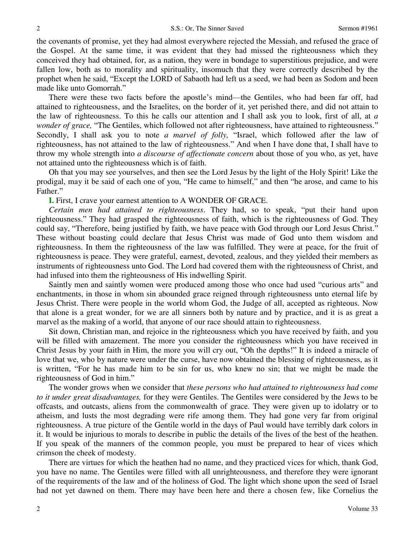the covenants of promise, yet they had almost everywhere rejected the Messiah, and refused the grace of the Gospel. At the same time, it was evident that they had missed the righteousness which they conceived they had obtained, for, as a nation, they were in bondage to superstitious prejudice, and were fallen low, both as to morality and spirituality, insomuch that they were correctly described by the prophet when he said, "Except the LORD of Sabaoth had left us a seed, we had been as Sodom and been made like unto Gomorrah."

There were these two facts before the apostle's mind—the Gentiles, who had been far off, had attained to righteousness, and the Israelites, on the border of it, yet perished there, and did not attain to the law of righteousness. To this he calls our attention and I shall ask you to look, first of all, at *a wonder of grace,* "The Gentiles, which followed not after righteousness, have attained to righteousness." Secondly, I shall ask you to note *a marvel of folly,* "Israel, which followed after the law of righteousness, has not attained to the law of righteousness." And when I have done that, I shall have to throw my whole strength into *a discourse of affectionate concern* about those of you who, as yet, have not attained unto the righteousness which is of faith.

Oh that you may see yourselves, and then see the Lord Jesus by the light of the Holy Spirit! Like the prodigal, may it be said of each one of you, "He came to himself," and then "he arose, and came to his Father."

#### **I.** First, I crave your earnest attention to A WONDER OF GRACE.

*Certain men had attained to righteousness*. They had, so to speak, "put their hand upon righteousness." They had grasped the righteousness of faith, which is the righteousness of God. They could say, "Therefore, being justified by faith, we have peace with God through our Lord Jesus Christ." These without boasting could declare that Jesus Christ was made of God unto them wisdom and righteousness. In them the righteousness of the law was fulfilled. They were at peace, for the fruit of righteousness is peace. They were grateful, earnest, devoted, zealous, and they yielded their members as instruments of righteousness unto God. The Lord had covered them with the righteousness of Christ, and had infused into them the righteousness of His indwelling Spirit.

Saintly men and saintly women were produced among those who once had used "curious arts" and enchantments, in those in whom sin abounded grace reigned through righteousness unto eternal life by Jesus Christ. There were people in the world whom God, the Judge of all, accepted as righteous. Now that alone is a great wonder, for we are all sinners both by nature and by practice, and it is as great a marvel as the making of a world, that anyone of our race should attain to righteousness.

Sit down, Christian man, and rejoice in the righteousness which you have received by faith, and you will be filled with amazement. The more you consider the righteousness which you have received in Christ Jesus by your faith in Him, the more you will cry out, "Oh the depths!" It is indeed a miracle of love that we, who by nature were under the curse, have now obtained the blessing of righteousness, as it is written, "For he has made him to be sin for us, who knew no sin; that we might be made the righteousness of God in him."

The wonder grows when we consider that *these persons who had attained to righteousness had come to it under great disadvantages,* for they were Gentiles. The Gentiles were considered by the Jews to be offcasts, and outcasts, aliens from the commonwealth of grace. They were given up to idolatry or to atheism, and lusts the most degrading were rife among them. They had gone very far from original righteousness. A true picture of the Gentile world in the days of Paul would have terribly dark colors in it. It would be injurious to morals to describe in public the details of the lives of the best of the heathen. If you speak of the manners of the common people, you must be prepared to hear of vices which crimson the cheek of modesty.

There are virtues for which the heathen had no name, and they practiced vices for which, thank God, you have no name. The Gentiles were filled with all unrighteousness, and therefore they were ignorant of the requirements of the law and of the holiness of God. The light which shone upon the seed of Israel had not yet dawned on them. There may have been here and there a chosen few, like Cornelius the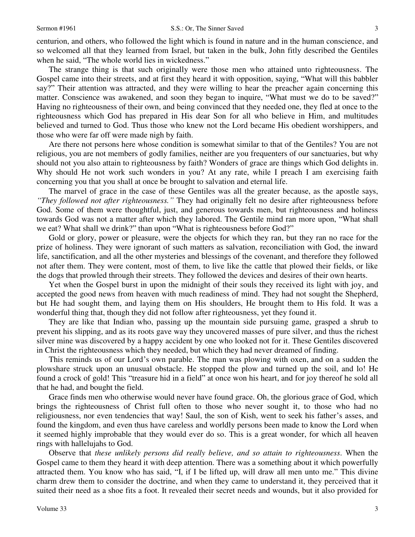centurion, and others, who followed the light which is found in nature and in the human conscience, and so welcomed all that they learned from Israel, but taken in the bulk, John fitly described the Gentiles when he said, "The whole world lies in wickedness."

The strange thing is that such originally were those men who attained unto righteousness. The Gospel came into their streets, and at first they heard it with opposition, saying, "What will this babbler say?" Their attention was attracted, and they were willing to hear the preacher again concerning this matter. Conscience was awakened, and soon they began to inquire, "What must we do to be saved?" Having no righteousness of their own, and being convinced that they needed one, they fled at once to the righteousness which God has prepared in His dear Son for all who believe in Him, and multitudes believed and turned to God. Thus those who knew not the Lord became His obedient worshippers, and those who were far off were made nigh by faith.

Are there not persons here whose condition is somewhat similar to that of the Gentiles? You are not religious, you are not members of godly families, neither are you frequenters of our sanctuaries, but why should not you also attain to righteousness by faith? Wonders of grace are things which God delights in. Why should He not work such wonders in you? At any rate, while I preach I am exercising faith concerning you that you shall at once be brought to salvation and eternal life.

The marvel of grace in the case of these Gentiles was all the greater because, as the apostle says, *"They followed not after righteousness."* They had originally felt no desire after righteousness before God. Some of them were thoughtful, just, and generous towards men, but righteousness and holiness towards God was not a matter after which they labored. The Gentile mind ran more upon, "What shall we eat? What shall we drink?" than upon "What is righteousness before God?"

Gold or glory, power or pleasure, were the objects for which they ran, but they ran no race for the prize of holiness. They were ignorant of such matters as salvation, reconciliation with God, the inward life, sanctification, and all the other mysteries and blessings of the covenant, and therefore they followed not after them. They were content, most of them, to live like the cattle that plowed their fields, or like the dogs that prowled through their streets. They followed the devices and desires of their own hearts.

Yet when the Gospel burst in upon the midnight of their souls they received its light with joy, and accepted the good news from heaven with much readiness of mind. They had not sought the Shepherd, but He had sought them, and laying them on His shoulders, He brought them to His fold. It was a wonderful thing that, though they did not follow after righteousness, yet they found it.

They are like that Indian who, passing up the mountain side pursuing game, grasped a shrub to prevent his slipping, and as its roots gave way they uncovered masses of pure silver, and thus the richest silver mine was discovered by a happy accident by one who looked not for it. These Gentiles discovered in Christ the righteousness which they needed, but which they had never dreamed of finding.

This reminds us of our Lord's own parable. The man was plowing with oxen, and on a sudden the plowshare struck upon an unusual obstacle. He stopped the plow and turned up the soil, and lo! He found a crock of gold! This "treasure hid in a field" at once won his heart, and for joy thereof he sold all that he had, and bought the field.

Grace finds men who otherwise would never have found grace. Oh, the glorious grace of God, which brings the righteousness of Christ full often to those who never sought it, to those who had no religiousness, nor even tendencies that way! Saul, the son of Kish, went to seek his father's asses, and found the kingdom, and even thus have careless and worldly persons been made to know the Lord when it seemed highly improbable that they would ever do so. This is a great wonder, for which all heaven rings with hallelujahs to God.

Observe that *these unlikely persons did really believe, and so attain to righteousness*. When the Gospel came to them they heard it with deep attention. There was a something about it which powerfully attracted them. You know who has said, "I, if I be lifted up, will draw all men unto me." This divine charm drew them to consider the doctrine, and when they came to understand it, they perceived that it suited their need as a shoe fits a foot. It revealed their secret needs and wounds, but it also provided for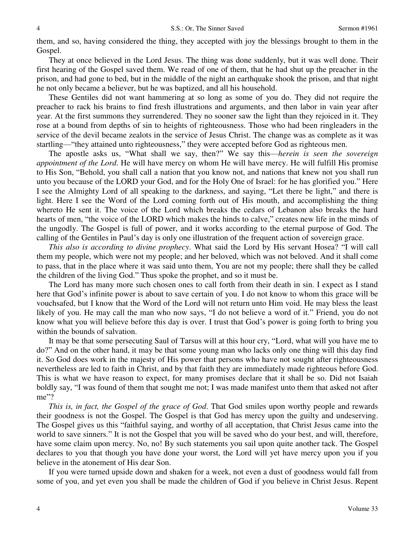them, and so, having considered the thing, they accepted with joy the blessings brought to them in the Gospel.

They at once believed in the Lord Jesus. The thing was done suddenly, but it was well done. Their first hearing of the Gospel saved them. We read of one of them, that he had shut up the preacher in the prison, and had gone to bed, but in the middle of the night an earthquake shook the prison, and that night he not only became a believer, but he was baptized, and all his household.

These Gentiles did not want hammering at so long as some of you do. They did not require the preacher to rack his brains to find fresh illustrations and arguments, and then labor in vain year after year. At the first summons they surrendered. They no sooner saw the light than they rejoiced in it. They rose at a bound from depths of sin to heights of righteousness. Those who had been ringleaders in the service of the devil became zealots in the service of Jesus Christ. The change was as complete as it was startling—"they attained unto righteousness," they were accepted before God as righteous men.

The apostle asks us, "What shall we say, then?" We say this—*herein is seen the sovereign appointment of the Lord*. He will have mercy on whom He will have mercy. He will fulfill His promise to His Son, "Behold, you shall call a nation that you know not, and nations that knew not you shall run unto you because of the LORD your God, and for the Holy One of Israel: for he has glorified you." Here I see the Almighty Lord of all speaking to the darkness, and saying, "Let there be light," and there is light. Here I see the Word of the Lord coming forth out of His mouth, and accomplishing the thing whereto He sent it. The voice of the Lord which breaks the cedars of Lebanon also breaks the hard hearts of men, "the voice of the LORD which makes the hinds to calve," creates new life in the minds of the ungodly. The Gospel is full of power, and it works according to the eternal purpose of God. The calling of the Gentiles in Paul's day is only one illustration of the frequent action of sovereign grace.

*This also is according to divine prophecy*. What said the Lord by His servant Hosea? "I will call them my people, which were not my people; and her beloved, which was not beloved. And it shall come to pass, that in the place where it was said unto them, You are not my people; there shall they be called the children of the living God." Thus spoke the prophet, and so it must be.

The Lord has many more such chosen ones to call forth from their death in sin. I expect as I stand here that God's infinite power is about to save certain of you. I do not know to whom this grace will be vouchsafed, but I know that the Word of the Lord will not return unto Him void. He may bless the least likely of you. He may call the man who now says, "I do not believe a word of it." Friend, you do not know what you will believe before this day is over. I trust that God's power is going forth to bring you within the bounds of salvation.

It may be that some persecuting Saul of Tarsus will at this hour cry, "Lord, what will you have me to do?" And on the other hand, it may be that some young man who lacks only one thing will this day find it. So God does work in the majesty of His power that persons who have not sought after righteousness nevertheless are led to faith in Christ, and by that faith they are immediately made righteous before God. This is what we have reason to expect, for many promises declare that it shall be so. Did not Isaiah boldly say, "I was found of them that sought me not; I was made manifest unto them that asked not after me"?

*This is, in fact, the Gospel of the grace of God*. That God smiles upon worthy people and rewards their goodness is not the Gospel. The Gospel is that God has mercy upon the guilty and undeserving. The Gospel gives us this "faithful saying, and worthy of all acceptation, that Christ Jesus came into the world to save sinners." It is not the Gospel that you will be saved who do your best, and will, therefore, have some claim upon mercy. No, no! By such statements you sail upon quite another tack. The Gospel declares to you that though you have done your worst, the Lord will yet have mercy upon you if you believe in the atonement of His dear Son.

If you were turned upside down and shaken for a week, not even a dust of goodness would fall from some of you, and yet even you shall be made the children of God if you believe in Christ Jesus. Repent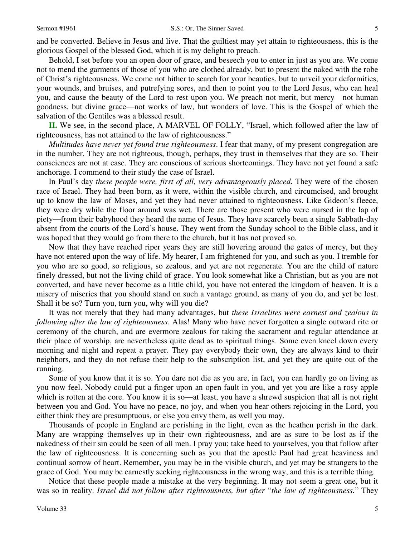Behold, I set before you an open door of grace, and beseech you to enter in just as you are. We come not to mend the garments of those of you who are clothed already, but to present the naked with the robe of Christ's righteousness. We come not hither to search for your beauties, but to unveil your deformities, your wounds, and bruises, and putrefying sores, and then to point you to the Lord Jesus, who can heal you, and cause the beauty of the Lord to rest upon you. We preach not merit, but mercy—not human goodness, but divine grace—not works of law, but wonders of love. This is the Gospel of which the salvation of the Gentiles was a blessed result.

**II.** We see, in the second place, A MARVEL OF FOLLY, "Israel, which followed after the law of righteousness, has not attained to the law of righteousness."

*Multitudes have never yet found true righteousness*. I fear that many, of my present congregation are in the number. They are not righteous, though, perhaps, they trust in themselves that they are so. Their consciences are not at ease. They are conscious of serious shortcomings. They have not yet found a safe anchorage. I commend to their study the case of Israel.

In Paul's day *these people were, first of all, very advantageously placed*. They were of the chosen race of Israel. They had been born, as it were, within the visible church, and circumcised, and brought up to know the law of Moses, and yet they had never attained to righteousness. Like Gideon's fleece, they were dry while the floor around was wet. There are those present who were nursed in the lap of piety—from their babyhood they heard the name of Jesus. They have scarcely been a single Sabbath-day absent from the courts of the Lord's house. They went from the Sunday school to the Bible class, and it was hoped that they would go from there to the church, but it has not proved so.

Now that they have reached riper years they are still hovering around the gates of mercy, but they have not entered upon the way of life. My hearer, I am frightened for you, and such as you. I tremble for you who are so good, so religious, so zealous, and yet are not regenerate. You are the child of nature finely dressed, but not the living child of grace. You look somewhat like a Christian, but as you are not converted, and have never become as a little child, you have not entered the kingdom of heaven. It is a misery of miseries that you should stand on such a vantage ground, as many of you do, and yet be lost. Shall it be so? Turn you, turn you, why will you die?

It was not merely that they had many advantages, but *these Israelites were earnest and zealous in following after the law of righteousness*. Alas! Many who have never forgotten a single outward rite or ceremony of the church, and are evermore zealous for taking the sacrament and regular attendance at their place of worship, are nevertheless quite dead as to spiritual things. Some even kneel down every morning and night and repeat a prayer. They pay everybody their own, they are always kind to their neighbors, and they do not refuse their help to the subscription list, and yet they are quite out of the running.

Some of you know that it is so. You dare not die as you are, in fact, you can hardly go on living as you now feel. Nobody could put a finger upon an open fault in you, and yet you are like a rosy apple which is rotten at the core. You know it is so—at least, you have a shrewd suspicion that all is not right between you and God. You have no peace, no joy, and when you hear others rejoicing in the Lord, you either think they are presumptuous, or else you envy them, as well you may.

Thousands of people in England are perishing in the light, even as the heathen perish in the dark. Many are wrapping themselves up in their own righteousness, and are as sure to be lost as if the nakedness of their sin could be seen of all men. I pray you; take heed to yourselves, you that follow after the law of righteousness. It is concerning such as you that the apostle Paul had great heaviness and continual sorrow of heart. Remember, you may be in the visible church, and yet may be strangers to the grace of God. You may be earnestly seeking righteousness in the wrong way, and this is a terrible thing.

Notice that these people made a mistake at the very beginning. It may not seem a great one, but it was so in reality. *Israel did not follow after righteousness, but after* "*the law of righteousness.*" They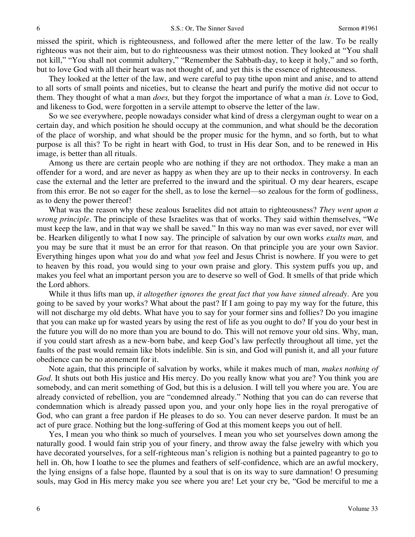missed the spirit, which is righteousness, and followed after the mere letter of the law. To be really righteous was not their aim, but to do righteousness was their utmost notion. They looked at "You shall not kill," "You shall not commit adultery," "Remember the Sabbath-day, to keep it holy," and so forth, but to love God with all their heart was not thought of, and yet this is the essence of righteousness.

They looked at the letter of the law, and were careful to pay tithe upon mint and anise, and to attend to all sorts of small points and niceties, but to cleanse the heart and purify the motive did not occur to them. They thought of what a man *does,* but they forgot the importance of what a man *is*. Love to God, and likeness to God, were forgotten in a servile attempt to observe the letter of the law.

So we see everywhere, people nowadays consider what kind of dress a clergyman ought to wear on a certain day, and which position he should occupy at the communion, and what should be the decoration of the place of worship, and what should be the proper music for the hymn, and so forth, but to what purpose is all this? To be right in heart with God, to trust in His dear Son, and to be renewed in His image, is better than all rituals.

Among us there are certain people who are nothing if they are not orthodox. They make a man an offender for a word, and are never as happy as when they are up to their necks in controversy. In each case the external and the letter are preferred to the inward and the spiritual. O my dear hearers, escape from this error. Be not so eager for the shell, as to lose the kernel—so zealous for the form of godliness, as to deny the power thereof!

What was the reason why these zealous Israelites did not attain to righteousness? *They went upon a wrong principle*. The principle of these Israelites was that of works. They said within themselves, "We must keep the law, and in that way we shall be saved." In this way no man was ever saved, nor ever will be. Hearken diligently to what I now say. The principle of salvation by our own works *exalts man,* and you may be sure that it must be an error for that reason. On that principle you are your own Savior. Everything hinges upon what *you* do and what *you* feel and Jesus Christ is nowhere. If you were to get to heaven by this road, you would sing to your own praise and glory. This system puffs you up, and makes you feel what an important person you are to deserve so well of God. It smells of that pride which the Lord abhors.

While it thus lifts man up, *it altogether ignores the great fact that you have sinned already*. Are you going to be saved by your works? What about the past? If I am going to pay my way for the future, this will not discharge my old debts. What have you to say for your former sins and follies? Do you imagine that you can make up for wasted years by using the rest of life as you ought to do? If you do your best in the future you will do no more than you are bound to do. This will not remove your old sins. Why, man, if you could start afresh as a new-born babe, and keep God's law perfectly throughout all time, yet the faults of the past would remain like blots indelible. Sin is sin, and God will punish it, and all your future obedience can be no atonement for it.

Note again, that this principle of salvation by works, while it makes much of man, *makes nothing of God*. It shuts out both His justice and His mercy. Do you really know what you are? You think you are somebody, and can merit something of God, but this is a delusion. I will tell you where you are. You are already convicted of rebellion, you are "condemned already." Nothing that you can do can reverse that condemnation which is already passed upon you, and your only hope lies in the royal prerogative of God, who can grant a free pardon if He pleases to do so. You can never deserve pardon. It must be an act of pure grace. Nothing but the long-suffering of God at this moment keeps you out of hell.

Yes, I mean you who think so much of yourselves. I mean you who set yourselves down among the naturally good. I would fain strip you of your finery, and throw away the false jewelry with which you have decorated yourselves, for a self-righteous man's religion is nothing but a painted pageantry to go to hell in. Oh, how I loathe to see the plumes and feathers of self-confidence, which are an awful mockery, the lying ensigns of a false hope, flaunted by a soul that is on its way to sure damnation! O presuming souls, may God in His mercy make you see where you are! Let your cry be, "God be merciful to me a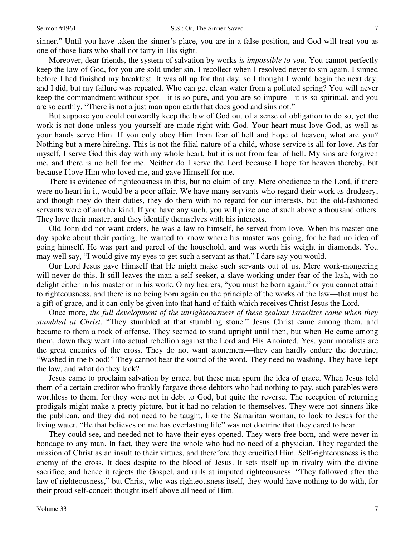sinner." Until you have taken the sinner's place, you are in a false position, and God will treat you as one of those liars who shall not tarry in His sight.

Moreover, dear friends, the system of salvation by works *is impossible to you*. You cannot perfectly keep the law of God, for you are sold under sin. I recollect when I resolved never to sin again. I sinned before I had finished my breakfast. It was all up for that day, so I thought I would begin the next day, and I did, but my failure was repeated. Who can get clean water from a polluted spring? You will never keep the commandment without spot—it is so pure, and you are so impure—it is so spiritual, and you are so earthly. "There is not a just man upon earth that does good and sins not."

But suppose you could outwardly keep the law of God out of a sense of obligation to do so, yet the work is not done unless you yourself are made right with God. Your heart must love God, as well as your hands serve Him. If you only obey Him from fear of hell and hope of heaven, what are you? Nothing but a mere hireling. This is not the filial nature of a child, whose service is all for love. As for myself, I serve God this day with my whole heart, but it is not from fear of hell. My sins are forgiven me, and there is no hell for me. Neither do I serve the Lord because I hope for heaven thereby, but because I love Him who loved me, and gave Himself for me.

There is evidence of righteousness in this, but no claim of any. Mere obedience to the Lord, if there were no heart in it, would be a poor affair. We have many servants who regard their work as drudgery, and though they do their duties, they do them with no regard for our interests, but the old-fashioned servants were of another kind. If you have any such, you will prize one of such above a thousand others. They love their master, and they identify themselves with his interests.

Old John did not want orders, he was a law to himself, he served from love. When his master one day spoke about their parting, he wanted to know where his master was going, for he had no idea of going himself. He was part and parcel of the household, and was worth his weight in diamonds. You may well say, "I would give my eyes to get such a servant as that." I dare say you would.

Our Lord Jesus gave Himself that He might make such servants out of us. Mere work-mongering will never do this. It still leaves the man a self-seeker, a slave working under fear of the lash, with no delight either in his master or in his work. O my hearers, "you must be born again," or you cannot attain to righteousness, and there is no being born again on the principle of the works of the law—that must be a gift of grace, and it can only be given into that hand of faith which receives Christ Jesus the Lord.

Once more, *the full development of the unrighteousness of these zealous Israelites came when they stumbled at Christ*. "They stumbled at that stumbling stone." Jesus Christ came among them, and became to them a rock of offense. They seemed to stand upright until then, but when He came among them, down they went into actual rebellion against the Lord and His Anointed. Yes, your moralists are the great enemies of the cross. They do not want atonement—they can hardly endure the doctrine, "Washed in the blood!" They cannot bear the sound of the word. They need no washing. They have kept the law, and what do they lack?

Jesus came to proclaim salvation by grace, but these men spurn the idea of grace. When Jesus told them of a certain creditor who frankly forgave those debtors who had nothing to pay, such parables were worthless to them, for they were not in debt to God, but quite the reverse. The reception of returning prodigals might make a pretty picture, but it had no relation to themselves. They were not sinners like the publican, and they did not need to be taught, like the Samaritan woman, to look to Jesus for the living water. "He that believes on me has everlasting life" was not doctrine that they cared to hear.

They could see, and needed not to have their eyes opened. They were free-born, and were never in bondage to any man. In fact, they were the whole who had no need of a physician. They regarded the mission of Christ as an insult to their virtues, and therefore they crucified Him. Self-righteousness is the enemy of the cross. It does despite to the blood of Jesus. It sets itself up in rivalry with the divine sacrifice, and hence it rejects the Gospel, and rails at imputed righteousness. "They followed after the law of righteousness," but Christ, who was righteousness itself, they would have nothing to do with, for their proud self-conceit thought itself above all need of Him.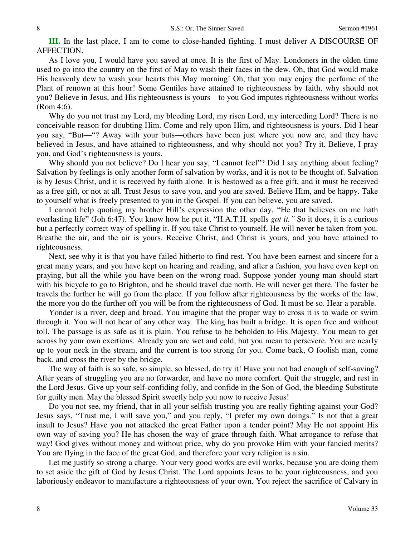**III.** In the last place, I am to come to close-handed fighting. I must deliver A DISCOURSE OF AFFECTION.

As I love you, I would have you saved at once. It is the first of May. Londoners in the olden time used to go into the country on the first of May to wash their faces in the dew. Oh, that God would make His heavenly dew to wash your hearts this May morning! Oh, that you may enjoy the perfume of the Plant of renown at this hour! Some Gentiles have attained to righteousness by faith, why should not you? Believe in Jesus, and His righteousness is yours—to you God imputes righteousness without works (Rom 4:6).

Why do you not trust my Lord, my bleeding Lord, my risen Lord, my interceding Lord? There is no conceivable reason for doubting Him. Come and rely upon Him, and righteousness is yours. Did I hear you say, "But—"? Away with your buts—others have been just where you now are, and they have believed in Jesus, and have attained to righteousness, and why should not you? Try it. Believe, I pray you, and God's righteousness is yours.

Why should you not believe? Do I hear you say, "I cannot feel"? Did I say anything about feeling? Salvation by feelings is only another form of salvation by works, and it is not to be thought of. Salvation is by Jesus Christ, and it is received by faith alone. It is bestowed as a free gift, and it must be received as a free gift, or not at all. Trust Jesus to save you, and you are saved. Believe Him, and be happy. Take to yourself what is freely presented to you in the Gospel. If you can believe, you are saved.

I cannot help quoting my brother Hill's expression the other day, "He that believes on me hath everlasting life" (Joh 6:47). You know how he put it, "H.A.T.H. spells *got it."* So it does, it is a curious but a perfectly correct way of spelling it. If you take Christ to yourself, He will never be taken from you. Breathe the air, and the air is yours. Receive Christ, and Christ is yours, and you have attained to righteousness.

Next, see why it is that you have failed hitherto to find rest. You have been earnest and sincere for a great many years, and you have kept on hearing and reading, and after a fashion, you have even kept on praying, but all the while you have been on the wrong road. Suppose yonder young man should start with his bicycle to go to Brighton, and he should travel due north. He will never get there. The faster he travels the further he will go from the place. If you follow after righteousness by the works of the law, the more you do the further off you will be from the righteousness of God. It must be so. Hear a parable.

Yonder is a river, deep and broad. You imagine that the proper way to cross it is to wade or swim through it. You will not hear of any other way. The king has built a bridge. It is open free and without toll. The passage is as safe as it is plain. You refuse to be beholden to His Majesty. You mean to get across by your own exertions. Already you are wet and cold, but you mean to persevere. You are nearly up to your neck in the stream, and the current is too strong for you. Come back, O foolish man, come back, and cross the river by the bridge.

The way of faith is so safe, so simple, so blessed, do try it! Have you not had enough of self-saving? After years of struggling you are no forwarder, and have no more comfort. Quit the struggle, and rest in the Lord Jesus. Give up your self-confiding folly, and confide in the Son of God, the bleeding Substitute for guilty men. May the blessed Spirit sweetly help you now to receive Jesus!

Do you not see, my friend, that in all your selfish trusting you are really fighting against your God? Jesus says, "Trust me, I will save you," and you reply, "I prefer my own doings." Is not that a great insult to Jesus? Have you not attacked the great Father upon a tender point? May He not appoint His own way of saving you? He has chosen the way of grace through faith. What arrogance to refuse that way! God gives without money and without price, why do you provoke Him with your fancied merits? You are flying in the face of the great God, and therefore your very religion is a sin.

Let me justify so strong a charge. Your very good works are evil works, because you are doing them to set aside the gift of God by Jesus Christ. The Lord appoints Jesus to be your righteousness, and you laboriously endeavor to manufacture a righteousness of your own. You reject the sacrifice of Calvary in